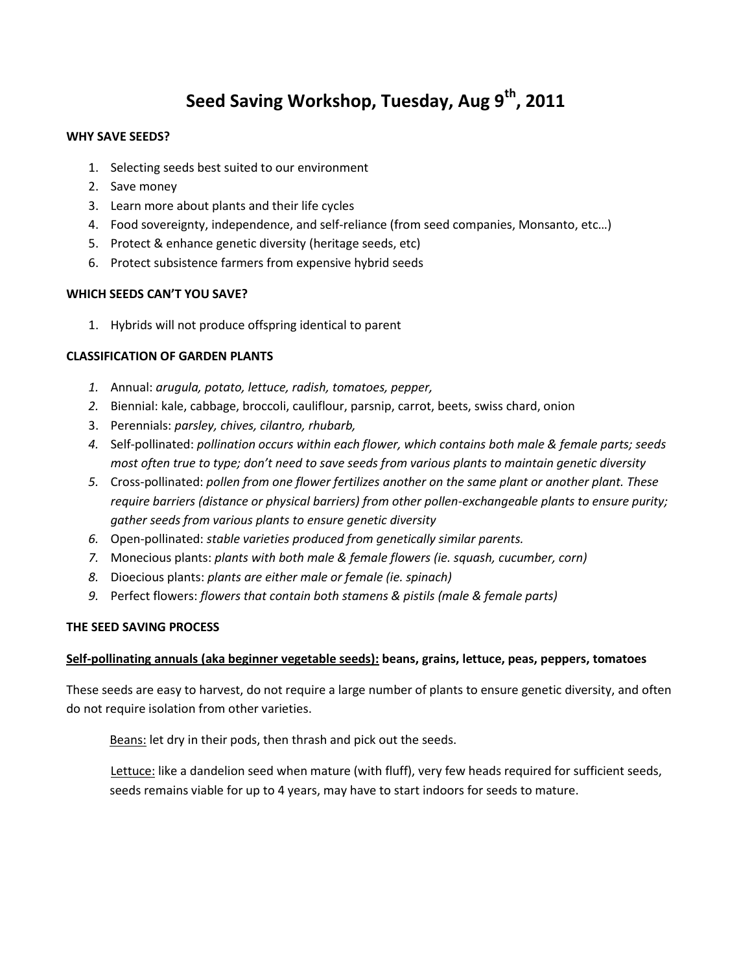# **Seed Saving Workshop, Tuesday, Aug 9th, 2011**

#### **WHY SAVE SEEDS?**

- 1. Selecting seeds best suited to our environment
- 2. Save money
- 3. Learn more about plants and their life cycles
- 4. Food sovereignty, independence, and self-reliance (from seed companies, Monsanto, etc…)
- 5. Protect & enhance genetic diversity (heritage seeds, etc)
- 6. Protect subsistence farmers from expensive hybrid seeds

#### **WHICH SEEDS CAN'T YOU SAVE?**

1. Hybrids will not produce offspring identical to parent

### **CLASSIFICATION OF GARDEN PLANTS**

- *1.* Annual: *arugula, potato, lettuce, radish, tomatoes, pepper,*
- *2.* Biennial: kale, cabbage, broccoli, cauliflour, parsnip, carrot, beets, swiss chard, onion
- 3. Perennials: *parsley, chives, cilantro, rhubarb,*
- *4.* Self-pollinated: *pollination occurs within each flower, which contains both male & female parts; seeds most often true to type; don't need to save seeds from various plants to maintain genetic diversity*
- *5.* Cross-pollinated: *pollen from one flower fertilizes another on the same plant or another plant. These require barriers (distance or physical barriers) from other pollen-exchangeable plants to ensure purity; gather seeds from various plants to ensure genetic diversity*
- *6.* Open-pollinated: *stable varieties produced from genetically similar parents.*
- *7.* Monecious plants: *plants with both male & female flowers (ie. squash, cucumber, corn)*
- *8.* Dioecious plants: *plants are either male or female (ie. spinach)*
- *9.* Perfect flowers: *flowers that contain both stamens & pistils (male & female parts)*

#### **THE SEED SAVING PROCESS**

#### **Self-pollinating annuals (aka beginner vegetable seeds): beans, grains, lettuce, peas, peppers, tomatoes**

These seeds are easy to harvest, do not require a large number of plants to ensure genetic diversity, and often do not require isolation from other varieties.

Beans: let dry in their pods, then thrash and pick out the seeds.

Lettuce: like a dandelion seed when mature (with fluff), very few heads required for sufficient seeds, seeds remains viable for up to 4 years, may have to start indoors for seeds to mature.